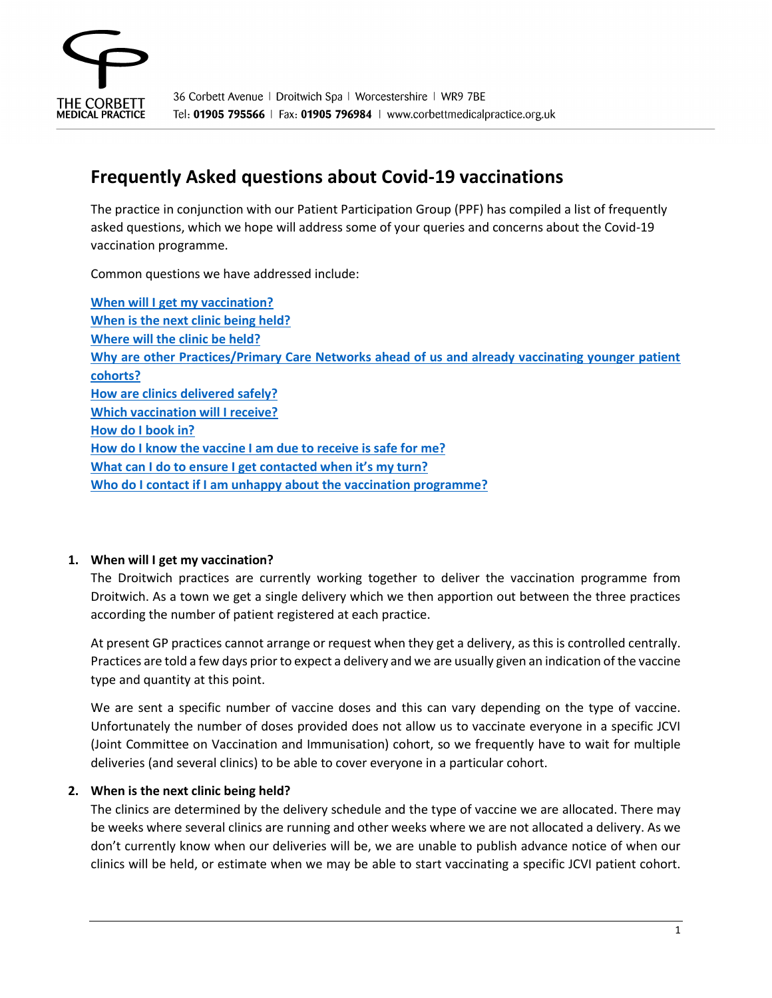

# **Frequently Asked questions about Covid-19 vaccinations**

The practice in conjunction with our Patient Participation Group (PPF) has compiled a list of frequently asked questions, which we hope will address some of your queries and concerns about the Covid-19 vaccination programme.

Common questions we have addressed include:

**[When will I get my vaccination?](#page-0-0) [When is the next clinic being held?](#page-0-1) [Where will the clinic be held?](#page-1-0) [Why are other Practices/Primary Care Networks ahead of us and already vaccinating younger patient](#page-1-1)  [cohorts?](#page-1-1) [How are clinics delivered safely?](#page-1-2) [Which vaccination will I receive?](#page-2-0) [How do I book in?](#page-2-1) [How do I know the vaccine I am due to receive is safe for me?](#page-2-2) [What can I do to ensure I get contacted when it's my turn?](#page-2-3) [Who do I contact if I am unhappy about the vaccination programme?](#page-3-0)**

### <span id="page-0-0"></span>**1. When will I get my vaccination?**

The Droitwich practices are currently working together to deliver the vaccination programme from Droitwich. As a town we get a single delivery which we then apportion out between the three practices according the number of patient registered at each practice.

At present GP practices cannot arrange or request when they get a delivery, as this is controlled centrally. Practices are told a few days prior to expect a delivery and we are usually given an indication of the vaccine type and quantity at this point.

We are sent a specific number of vaccine doses and this can vary depending on the type of vaccine. Unfortunately the number of doses provided does not allow us to vaccinate everyone in a specific JCVI (Joint Committee on Vaccination and Immunisation) cohort, so we frequently have to wait for multiple deliveries (and several clinics) to be able to cover everyone in a particular cohort.

### <span id="page-0-1"></span>**2. When is the next clinic being held?**

The clinics are determined by the delivery schedule and the type of vaccine we are allocated. There may be weeks where several clinics are running and other weeks where we are not allocated a delivery. As we don't currently know when our deliveries will be, we are unable to publish advance notice of when our clinics will be held, or estimate when we may be able to start vaccinating a specific JCVI patient cohort.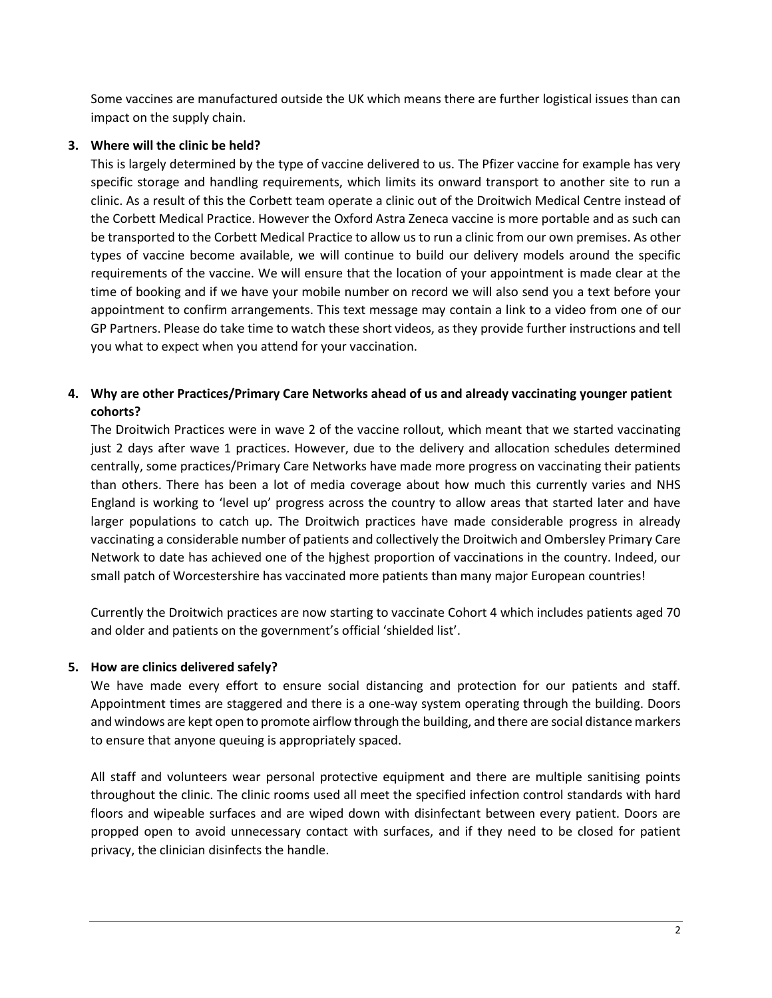Some vaccines are manufactured outside the UK which means there are further logistical issues than can impact on the supply chain.

## <span id="page-1-0"></span>**3. Where will the clinic be held?**

This is largely determined by the type of vaccine delivered to us. The Pfizer vaccine for example has very specific storage and handling requirements, which limits its onward transport to another site to run a clinic. As a result of this the Corbett team operate a clinic out of the Droitwich Medical Centre instead of the Corbett Medical Practice. However the Oxford Astra Zeneca vaccine is more portable and as such can be transported to the Corbett Medical Practice to allow us to run a clinic from our own premises. As other types of vaccine become available, we will continue to build our delivery models around the specific requirements of the vaccine. We will ensure that the location of your appointment is made clear at the time of booking and if we have your mobile number on record we will also send you a text before your appointment to confirm arrangements. This text message may contain a link to a video from one of our GP Partners. Please do take time to watch these short videos, as they provide further instructions and tell you what to expect when you attend for your vaccination.

## <span id="page-1-1"></span>**4. Why are other Practices/Primary Care Networks ahead of us and already vaccinating younger patient cohorts?**

The Droitwich Practices were in wave 2 of the vaccine rollout, which meant that we started vaccinating just 2 days after wave 1 practices. However, due to the delivery and allocation schedules determined centrally, some practices/Primary Care Networks have made more progress on vaccinating their patients than others. There has been a lot of media coverage about how much this currently varies and NHS England is working to 'level up' progress across the country to allow areas that started later and have larger populations to catch up. The Droitwich practices have made considerable progress in already vaccinating a considerable number of patients and collectively the Droitwich and Ombersley Primary Care Network to date has achieved one of the hjghest proportion of vaccinations in the country. Indeed, our small patch of Worcestershire has vaccinated more patients than many major European countries!

Currently the Droitwich practices are now starting to vaccinate Cohort 4 which includes patients aged 70 and older and patients on the government's official 'shielded list'.

### <span id="page-1-2"></span>**5. How are clinics delivered safely?**

We have made every effort to ensure social distancing and protection for our patients and staff. Appointment times are staggered and there is a one-way system operating through the building. Doors and windows are kept open to promote airflow through the building, and there are social distance markers to ensure that anyone queuing is appropriately spaced.

All staff and volunteers wear personal protective equipment and there are multiple sanitising points throughout the clinic. The clinic rooms used all meet the specified infection control standards with hard floors and wipeable surfaces and are wiped down with disinfectant between every patient. Doors are propped open to avoid unnecessary contact with surfaces, and if they need to be closed for patient privacy, the clinician disinfects the handle.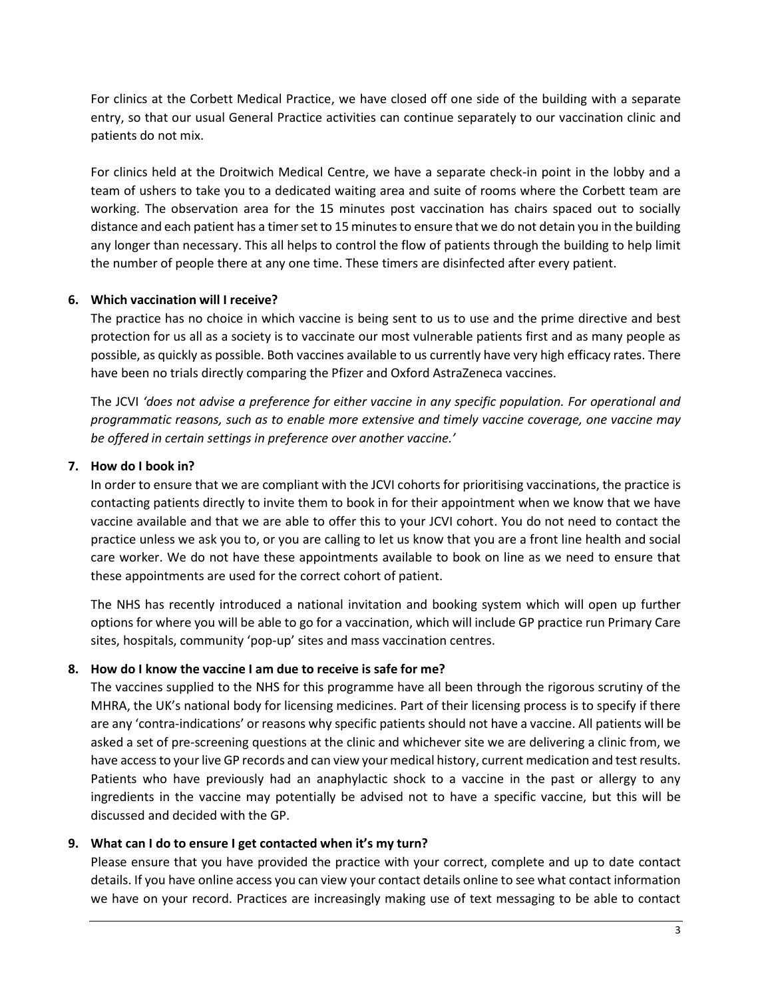For clinics at the Corbett Medical Practice, we have closed off one side of the building with a separate entry, so that our usual General Practice activities can continue separately to our vaccination clinic and patients do not mix.

For clinics held at the Droitwich Medical Centre, we have a separate check-in point in the lobby and a team of ushers to take you to a dedicated waiting area and suite of rooms where the Corbett team are working. The observation area for the 15 minutes post vaccination has chairs spaced out to socially distance and each patient has a timer set to 15 minutes to ensure that we do not detain you in the building any longer than necessary. This all helps to control the flow of patients through the building to help limit the number of people there at any one time. These timers are disinfected after every patient.

### <span id="page-2-0"></span>**6. Which vaccination will I receive?**

The practice has no choice in which vaccine is being sent to us to use and the prime directive and best protection for us all as a society is to vaccinate our most vulnerable patients first and as many people as possible, as quickly as possible. Both vaccines available to us currently have very high efficacy rates. There have been no trials directly comparing the Pfizer and Oxford AstraZeneca vaccines.

The JCVI *'does not advise a preference for either vaccine in any specific population. For operational and programmatic reasons, such as to enable more extensive and timely vaccine coverage, one vaccine may be offered in certain settings in preference over another vaccine.'*

#### <span id="page-2-1"></span>**7. How do I book in?**

In order to ensure that we are compliant with the JCVI cohorts for prioritising vaccinations, the practice is contacting patients directly to invite them to book in for their appointment when we know that we have vaccine available and that we are able to offer this to your JCVI cohort. You do not need to contact the practice unless we ask you to, or you are calling to let us know that you are a front line health and social care worker. We do not have these appointments available to book on line as we need to ensure that these appointments are used for the correct cohort of patient.

The NHS has recently introduced a national invitation and booking system which will open up further options for where you will be able to go for a vaccination, which will include GP practice run Primary Care sites, hospitals, community 'pop-up' sites and mass vaccination centres.

#### <span id="page-2-2"></span>**8. How do I know the vaccine I am due to receive is safe for me?**

The vaccines supplied to the NHS for this programme have all been through the rigorous scrutiny of the MHRA, the UK's national body for licensing medicines. Part of their licensing process is to specify if there are any 'contra-indications' or reasons why specific patients should not have a vaccine. All patients will be asked a set of pre-screening questions at the clinic and whichever site we are delivering a clinic from, we have access to your live GP records and can view your medical history, current medication and test results. Patients who have previously had an anaphylactic shock to a vaccine in the past or allergy to any ingredients in the vaccine may potentially be advised not to have a specific vaccine, but this will be discussed and decided with the GP.

#### <span id="page-2-3"></span>**9. What can I do to ensure I get contacted when it's my turn?**

Please ensure that you have provided the practice with your correct, complete and up to date contact details. If you have online access you can view your contact details online to see what contact information we have on your record. Practices are increasingly making use of text messaging to be able to contact